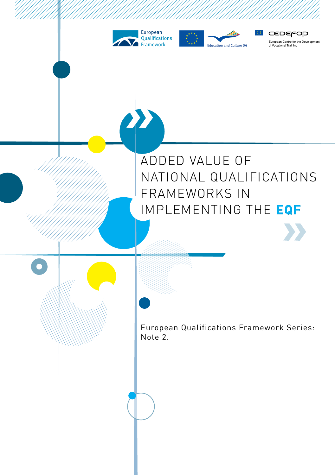







European Qualifications Framework Series: Note 2.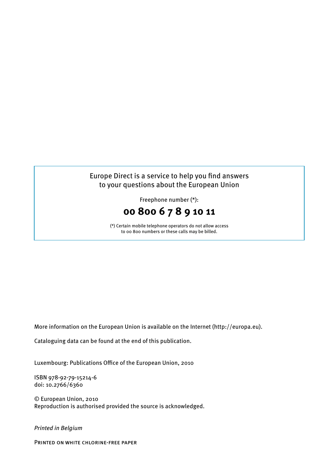### Europe Direct is a service to help you find answers to your questions about the European Union

Freephone number (\*):



(\*) Certain mobile telephone operators do not allow access to 00 800 numbers or these calls may be billed.

More information on the European Union is available on the Internet (http://europa.eu).

Cataloguing data can be found at the end of this publication.

Luxembourg: Publications Office of the European Union, 2010

ISBN 978-92-79-15214-6 doi: 10.2766/6360

© European Union, 2010 Reproduction is authorised provided the source is acknowledged.

*Printed in Belgium*

Printed on white chlorine-free paper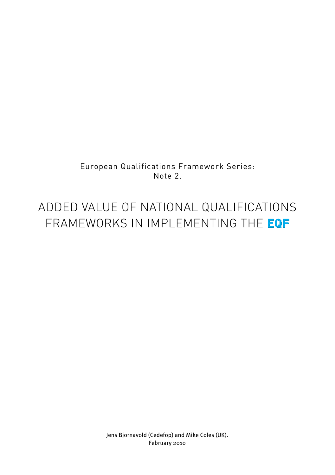European Qualifications Framework Series: Note 2.

### ADDED VALUE OF NATIONAL QUALIFICATIONS FRAMEWORKS IN IMPLEMENTING THE **EQF**

Jens Bjornavold (Cedefop) and Mike Coles (UK). February 2010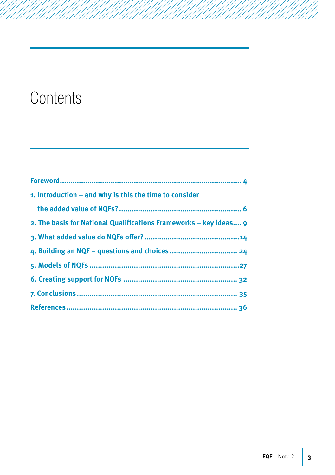### **Contents**

| 1. Introduction – and why is this the time to consider            |
|-------------------------------------------------------------------|
|                                                                   |
| 2. The basis for National Qualifications Frameworks – key ideas 9 |
|                                                                   |
|                                                                   |
|                                                                   |
|                                                                   |
|                                                                   |
|                                                                   |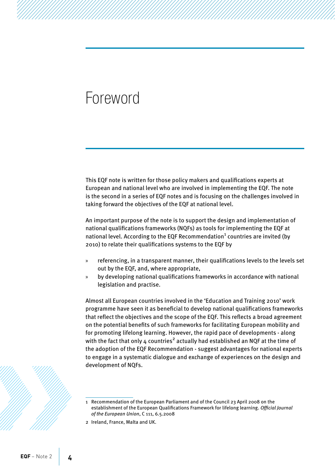### <span id="page-5-0"></span>Foreword

This EQF note is written for those policy makers and qualifications experts at European and national level who are involved in implementing the EQF. The note is the second in a series of EQF notes and is focusing on the challenges involved in taking forward the objectives of the EQF at national level.

An important purpose of the note is to support the design and implementation of national qualifications frameworks (NQFs) as tools for implementing the EQF at national level. According to the EQF Recommendation $^{\rm 1}$  countries are invited (by 2010) to relate their qualifications systems to the EQF by

- » referencing, in a transparent manner, their qualifications levels to the levels set out by the EQF, and, where appropriate,
- » by developing national qualifications frameworks in accordance with national legislation and practise.

Almost all European countries involved in the 'Education and Training 2010' work programme have seen it as beneficial to develop national qualifications frameworks that reflect the objectives and the scope of the EQF. This reflects a broad agreement on the potential benefits of such frameworks for facilitating European mobility and for promoting lifelong learning. However, the rapid pace of developments - along with the fact that only 4 countries $^2$  actually had established an NQF at the time of the adoption of the EQF Recommendation - suggest advantages for national experts to engage in a systematic dialogue and exchange of experiences on the design and development of NQFs.



<sup>1</sup> Recommendation of the European Parliament and of the Council 23 April 2008 on the establishment of the European Qualifications Framework for lifelong learning. *Official Journal of the European Union*, C 111, 6.5.2008

<sup>2</sup> Ireland, France, Malta and UK.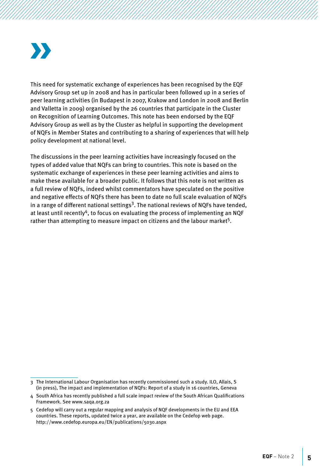This need for systematic exchange of experiences has been recognised by the EQF Advisory Group set up in 2008 and has in particular been followed up in a series of peer learning activities (in Budapest in 2007, Krakow and London in 2008 and Berlin and Valletta in 2009) organised by the 26 countries that participate in the Cluster on Recognition of Learning Outcomes. This note has been endorsed by the EQF Advisory Group as well as by the Cluster as helpful in supporting the development of NQFs in Member States and contributing to a sharing of experiences that will help policy development at national level.

The discussions in the peer learning activities have increasingly focused on the types of added value that NQFs can bring to countries. This note is based on the systematic exchange of experiences in these peer learning activities and aims to make these available for a broader public. It follows that this note is not written as a full review of NQFs, indeed whilst commentators have speculated on the positive and negative effects of NQFs there has been to date no full scale evaluation of NQFs in a range of different national settings<sup>3</sup>. The national reviews of NQFs have tended, at least until recently<sup>4</sup>, to focus on evaluating the process of implementing an NQF rather than attempting to measure impact on citizens and the labour market<sup>5</sup>.

<sup>3</sup> The International Labour Organisation has recently commissioned such a study. ILO, Allais, S (in press), The impact and implementation of NQFs: Report of a study in 16 countries, Geneva

<sup>4</sup> South Africa has recently published a full scale impact review of the South African Qualifications Framework. See [www.saqa.org.za](http://www.saqa.org.za)

<sup>5</sup> Cedefop will carry out a regular mapping and analysis of NQF developments in the EU and EEA countries. These reports, updated twice a year, are available on the Cedefop web page. <http://www.cedefop.europa.eu/EN/publications/5030.aspx>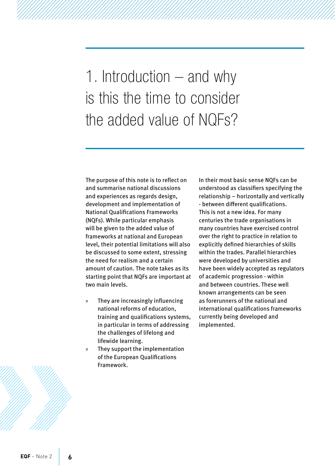<span id="page-7-0"></span>1. Introduction – and why is this the time to consider the added value of NQFs?

The purpose of this note is to reflect on and summarise national discussions and experiences as regards design, development and implementation of National Qualifications Frameworks (NQFs). While particular emphasis will be given to the added value of frameworks at national and European level, their potential limitations will also be discussed to some extent, stressing the need for realism and a certain amount of caution. The note takes as its starting point that NQFs are important at two main levels.

- » They are increasingly influencing national reforms of education, training and qualifications systems, in particular in terms of addressing the challenges of lifelong and lifewide learning.
- » They support the implementation of the European Qualifications Framework.

In their most basic sense NQFs can be understood as classifiers specifying the relationship – horizontally and vertically - between different qualifications. This is not a new idea. For many centuries the trade organisations in many countries have exercised control over the right to practice in relation to explicitly defined hierarchies of skills within the trades. Parallel hierarchies were developed by universities and have been widely accepted as regulators of academic progression - within and between countries. These well known arrangements can be seen as forerunners of the national and international qualifications frameworks currently being developed and implemented.

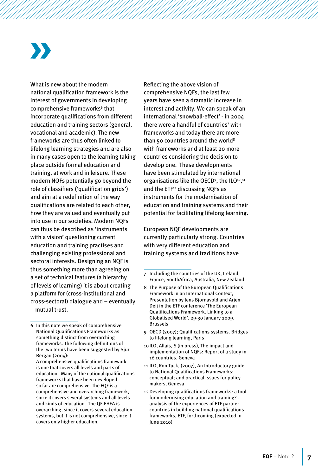What is new about the modern national qualification framework is the interest of governments in developing comprehensive frameworks<sup>6</sup> that incorporate qualifications from different education and training sectors (general, vocational and academic). The new frameworks are thus often linked to lifelong learning strategies and are also in many cases open to the learning taking place outside formal education and training, at work and in leisure. These modern NQFs potentially go beyond the role of classifiers ('qualification grids') and aim at a redefinition of the way qualifications are related to each other, how they are valued and eventually put into use in our societies. Modern NQFs can thus be described as 'instruments with a vision' questioning current education and training practises and challenging existing professional and sectoral interests. Designing an NQF is thus something more than agreeing on a set of technical features (a hierarchy of levels of learning) it is about creating a platform for (cross-institutional and cross-sectoral) dialogue and – eventually – mutual trust.

Reflecting the above vision of comprehensive NQFs, the last few years have seen a dramatic increase in interest and activity. We can speak of an international 'snowball-effect' - in 2004 there were a handful of countries<sup>7</sup> with frameworks and today there are more than 50 countries around the world<sup>8</sup> with frameworks and at least 20 more countries considering the decision to develop one. These developments have been stimulated by international organisations like the OECD<sup>9</sup>, the ILO<sup>10</sup>,<sup>11</sup> and the ETF<sup>12</sup> discussing NQFs as instruments for the modernisation of education and training systems and their potential for facilitating lifelong learning.

European NQF developments are currently particularly strong. Countries with very different education and training systems and traditions have

- 8 The Purpose of the European Qualifications Framework in an International Context, Presentation by Jens Bjornavold and Arjen Deij in the ETF conference 'The European Qualifications Framework. Linking to a Globalised World', 29-30 January 2009, Brussels
- 9 OECD (2007); Qualifications systems. Bridges to lifelong learning, Paris
- 10ILO, Allais, S (in press), The impact and implementation of NQFs: Report of a study in 16 countries. Geneva
- 11 ILO, Ron Tuck, (2007), An Introductory guide to National Qualifications Frameworks; conceptual; and practical issues for policy makers, Geneva
- 12Developing qualifications frameworks: a tool for modernising education and training? analysis of the experiences of ETF partner countries in building national qualifications frameworks, ETF, forthcoming (expected in June 2010)

<sup>6</sup> In this note we speak of comprehensive National Qualifications Frameworks as something distinct from overarching frameworks. The following definitions of the two terms have been suggested by Sjur Bergan (2009):

A comprehensive qualifications framework is one that covers all levels and parts of education. Many of the national qualifications frameworks that have been developed so far are comprehensive. The EQF is a comprehensive and overarching framework, since it covers several systems and all levels and kinds of education. The QF-EHEA is overarching, since it covers several education systems, but it is not comprehensive, since it covers only higher education.

<sup>7</sup> Including the countries of the UK, Ireland, France, SouthAfrica, Australia, New Zealand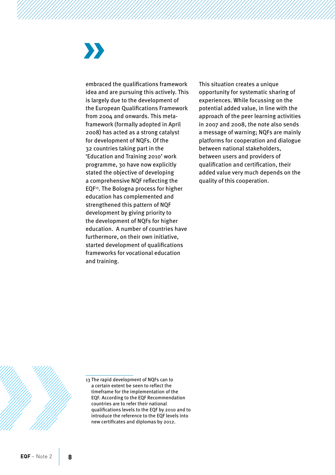embraced the qualifications framework idea and are pursuing this actively. This is largely due to the development of the European Qualifications Framework from 2004 and onwards. This metaframework (formally adopted in April 2008) has acted as a strong catalyst for development of NQFs. Of the 32 countries taking part in the 'Education and Training 2010' work programme, 30 have now explicitly stated the objective of developing a comprehensive NQF reflecting the EQF13. The Bologna process for higher education has complemented and strengthened this pattern of NQF development by giving priority to the development of NQFs for higher education. A number of countries have furthermore, on their own initiative, started development of qualifications frameworks for vocational education and training.

This situation creates a unique opportunity for systematic sharing of experiences. While focussing on the potential added value, in line with the approach of the peer learning activities in 2007 and 2008, the note also sends a message of warning; NQFs are mainly platforms for cooperation and dialogue between national stakeholders, between users and providers of qualification and certification, their added value very much depends on the quality of this cooperation.



13 The rapid development of NQFs can to a certain extent be seen to reflect the timeframe for the implementation of the EQF. According to the EQF Recommendation countries are to refer their national qualifications levels to the EQF by 2010 and to introduce the reference to the EQF levels into new certificates and diplomas by 2012.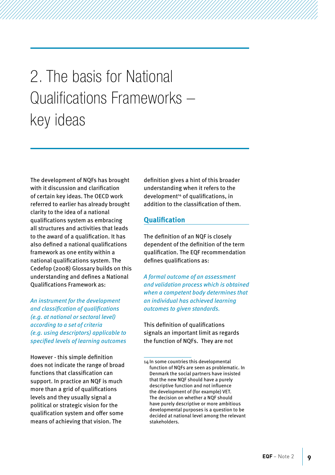<span id="page-10-0"></span>2. The basis for National Qualifications Frameworks – key ideas

The development of NQFs has brought with it discussion and clarification of certain key ideas. The OECD work referred to earlier has already brought clarity to the idea of a national qualifications system as embracing all structures and activities that leads to the award of a qualification. It has also defined a national qualifications framework as one entity within a national qualifications system. The Cedefop (2008) Glossary builds on this understanding and defines a National Qualifications Framework as:

*An instrument for the development and classification of qualifications (e.g. at national or sectoral level) according to a set of criteria (e.g. using descriptors) applicable to specified levels of learning outcomes*

However - this simple definition does not indicate the range of broad functions that classification can support. In practice an NQF is much more than a grid of qualifications levels and they usually signal a political or strategic vision for the qualification system and offer some means of achieving that vision. The

definition gives a hint of this broader understanding when it refers to the development<sup>14</sup> of qualifications, in addition to the classification of them.

#### **Qualification**

The definition of an NQF is closely dependent of the definition of the term qualification. The EQF recommendation defines qualifications as:

*A formal outcome of an assessment and validation process which is obtained when a competent body determines that an individual has achieved learning outcomes to given standards.*

This definition of qualifications signals an important limit as regards the function of NQFs. They are not

<sup>14</sup> In some countries this developmental function of NQFs are seen as problematic. In Denmark the social partners have insisted that the new NQF should have a purely descriptive function and not influence the development of (for example) VET. The decision on whether a NQF should have purely descriptive or more ambitious developmental purposes is a question to be decided at national level among the relevant stakeholders.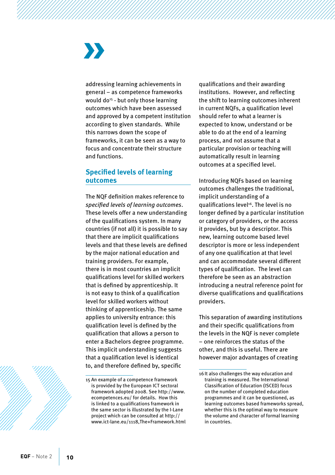addressing learning achievements in general – as competence frameworks would do<sup>15</sup> - but only those learning outcomes which have been assessed and approved by a competent institution according to given standards. While this narrows down the scope of frameworks, it can be seen as a way to focus and concentrate their structure and functions.

#### **Specified levels of learning outcomes**

The NQF definition makes reference to *specified levels of learning outcomes*. These levels offer a new understanding of the qualifications system. In many countries (if not all) it is possible to say that there are implicit qualifications levels and that these levels are defined by the major national education and training providers. For example, there is in most countries an implicit qualifications level for skilled workers that is defined by apprenticeship. It is not easy to think of a qualification level for skilled workers without thinking of apprenticeship. The same applies to university entrance: this qualification level is defined by the qualification that allows a person to enter a Bachelors degree programme. This implicit understanding suggests that a qualification level is identical to, and therefore defined by, specific

qualifications and their awarding institutions. However, and reflecting the shift to learning outcomes inherent in current NQFs, a qualification level should refer to what a learner is expected to know, understand or be able to do at the end of a learning process, and not assume that a particular provision or teaching will automatically result in learning outcomes at a specified level.

Introducing NQFs based on learning outcomes challenges the traditional, implicit understanding of a qualifications level<sup>16</sup>. The level is no longer defined by a particular institution or category of providers, or the access it provides, but by a descriptor. This new, learning outcome based level descriptor is more or less independent of any one qualification at that level and can accommodate several different types of qualification. The level can therefore be seen as an abstraction introducing a neutral reference point for diverse qualifications and qualifications providers.

This separation of awarding institutions and their specific qualifications from the levels in the NQF is never complete – one reinforces the status of the other, and this is useful. There are however major advantages of creating



<sup>15</sup> An example of a competence framework is provided by the European ICT sectoral framework adopted 2008. See http://www. ecompetences.eu/ for details. How this is linked to a qualifications framework in the same sector is illustrated by the I-Lane project which can be consulted at [http://](http://www.ict-lane.eu/1118,The+Framework.html) [www.ict-lane.eu/1118,The+Framework.html](http://www.ict-lane.eu/1118,The+Framework.html)

<sup>16</sup>It also challenges the way education and training is measured. The International Classification of Education (ISCED) focus on the number of completed education programmes and it can be questioned, as learning outcomes based frameworks spread, whether this is the optimal way to measure the volume and character of formal learning in countries.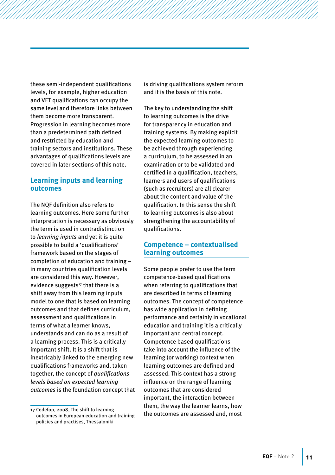these semi-independent qualifications levels, for example, higher education and VET qualifications can occupy the same level and therefore links between them become more transparent. Progression in learning becomes more than a predetermined path defined and restricted by education and training sectors and institutions. These advantages of qualifications levels are covered in later sections of this note.

#### **Learning inputs and learning outcomes**

The NQF definition also refers to learning outcomes. Here some further interpretation is necessary as obviously the term is used in contradistinction to *learning inputs* and yet it is quite possible to build a 'qualifications' framework based on the stages of completion of education and training – in many countries qualification levels are considered this way. However, evidence suggests<sup>17</sup> that there is a shift away from this learning inputs model to one that is based on learning outcomes and that defines curriculum, assessment and qualifications in terms of what a learner knows, understands and can do as a result of a learning process. This is a critically important shift. It is a shift that is inextricably linked to the emerging new qualifications frameworks and, taken together, the concept of *qualifications levels based on expected learning outcomes* is the foundation concept that is driving qualifications system reform and it is the basis of this note.

The key to understanding the shift to learning outcomes is the drive for transparency in education and training systems. By making explicit the expected learning outcomes to be achieved through experiencing a curriculum, to be assessed in an examination or to be validated and certified in a qualification, teachers, learners and users of qualifications (such as recruiters) are all clearer about the content and value of the qualification. In this sense the shift to learning outcomes is also about strengthening the accountability of qualifications.

#### **Competence – contextualised learning outcomes**

Some people prefer to use the term competence-based qualifications when referring to qualifications that are described in terms of learning outcomes. The concept of competence has wide application in defining performance and certainly in vocational education and training it is a critically important and central concept. Competence based qualifications take into account the influence of the learning (or working) context when learning outcomes are defined and assessed. This context has a strong influence on the range of learning outcomes that are considered important, the interaction between them, the way the learner learns, how the outcomes are assessed and, most

<sup>17</sup> Cedefop, 2008, The shift to learning outcomes in European education and training policies and practises, Thessaloniki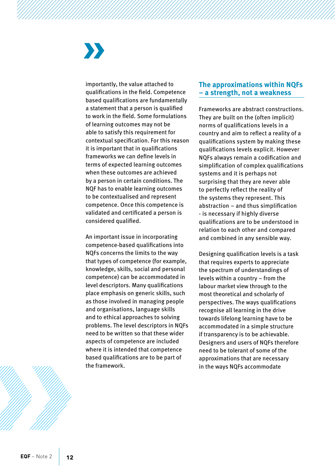importantly, the value attached to qualifications in the field. Competence based qualifications are fundamentally a statement that a person is qualified to work in the field. Some formulations of learning outcomes may not be able to satisfy this requirement for contextual specification. For this reason it is important that in qualifications frameworks we can define levels in terms of expected learning outcomes when these outcomes are achieved by a person in certain conditions. The NQF has to enable learning outcomes to be contextualised and represent competence. Once this competence is validated and certificated a person is considered qualified.

An important issue in incorporating competence-based qualifications into NQFs concerns the limits to the way that types of competence (for example, knowledge, skills, social and personal competence) can be accommodated in level descriptors. Many qualifications place emphasis on generic skills, such as those involved in managing people and organisations, language skills and to ethical approaches to solving problems. The level descriptors in NQFs need to be written so that these wider aspects of competence are included where it is intended that competence based qualifications are to be part of the framework.

#### **The approximations within NQFs – a strength, not a weakness**

Frameworks are abstract constructions. They are built on the (often implicit) norms of qualifications levels in a country and aim to reflect a reality of a qualifications system by making these qualifications levels explicit. However NQFs always remain a codification and simplification of complex qualifications systems and it is perhaps not surprising that they are never able to perfectly reflect the reality of the systems they represent. This abstraction – and thus simplification - is necessary if highly diverse qualifications are to be understood in relation to each other and compared and combined in any sensible way.

Designing qualification levels is a task that requires experts to appreciate the spectrum of understandings of levels within a country – from the labour market view through to the most theoretical and scholarly of perspectives. The ways qualifications recognise all learning in the drive towards lifelong learning have to be accommodated in a simple structure if transparency is to be achievable. Designers and users of NQFs therefore need to be tolerant of some of the approximations that are necessary in the ways NQFs accommodate

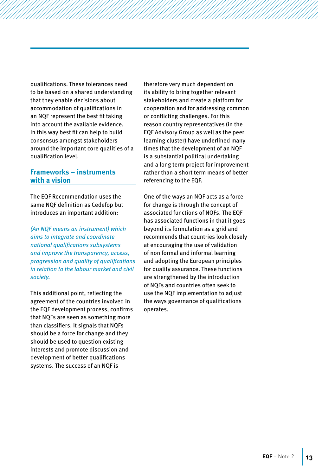qualifications. These tolerances need to be based on a shared understanding that they enable decisions about accommodation of qualifications in an NQF represent the best fit taking into account the available evidence. In this way best fit can help to build consensus amongst stakeholders around the important core qualities of a qualification level.

#### **Frameworks – instruments with a vision**

The EQF Recommendation uses the same NQF definition as Cedefop but introduces an important addition:

*(An NQF means an instrument) which aims to integrate and coordinate national qualifications subsystems and improve the transparency, access, progression and quality of qualifications in relation to the labour market and civil society.*

This additional point, reflecting the agreement of the countries involved in the EQF development process, confirms that NQFs are seen as something more than classifiers. It signals that NQFs should be a force for change and they should be used to question existing interests and promote discussion and development of better qualifications systems. The success of an NQF is

therefore very much dependent on its ability to bring together relevant stakeholders and create a platform for cooperation and for addressing common or conflicting challenges. For this reason country representatives (in the EQF Advisory Group as well as the peer learning cluster) have underlined many times that the development of an NQF is a substantial political undertaking and a long term project for improvement rather than a short term means of better referencing to the EQF.

One of the ways an NQF acts as a force for change is through the concept of associated functions of NQFs. The EQF has associated functions in that it goes beyond its formulation as a grid and recommends that countries look closely at encouraging the use of validation of non formal and informal learning and adopting the European principles for quality assurance. These functions are strengthened by the introduction of NQFs and countries often seek to use the NQF implementation to adjust the ways governance of qualifications operates.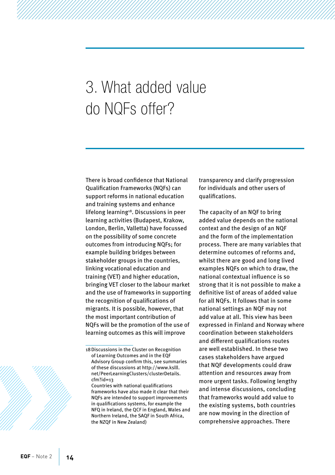### <span id="page-15-0"></span>3. What added value do NQFs offer?

There is broad confidence that National Qualification Frameworks (NQFs) can support reforms in national education and training systems and enhance lifelong learning<sup>18</sup>. Discussions in peer learning activities (Budapest, Krakow, London, Berlin, Valletta) have focussed on the possibility of some concrete outcomes from introducing NQFs; for example building bridges between stakeholder groups in the countries, linking vocational education and training (VET) and higher education, bringing VET closer to the labour market and the use of frameworks in supporting the recognition of qualifications of migrants. It is possible, however, that the most important contribution of NQFs will be the promotion of the use of learning outcomes as this will improve

transparency and clarify progression for individuals and other users of qualifications.

The capacity of an NQF to bring added value depends on the national context and the design of an NQF and the form of the implementation process. There are many variables that determine outcomes of reforms and, whilst there are good and long lived examples NQFs on which to draw, the national contextual influence is so strong that it is not possible to make a definitive list of areas of added value for all NQFs. It follows that in some national settings an NQF may not add value at all. This view has been expressed in Finland and Norway where coordination between stakeholders and different qualifications routes are well established. In these two cases stakeholders have argued that NQF developments could draw attention and resources away from more urgent tasks. Following lengthy and intense discussions, concluding that frameworks would add value to the existing systems, both countries are now moving in the direction of comprehensive approaches. There



<sup>18</sup>Discussions in the Cluster on Recognition of Learning Outcomes and in the EQF Advisory Group confirm this, see summaries of these discussions at [http://www.kslll.](http://www.kslll.net/PeerLearningClusters/clusterDetails.cfm?id=13) [net/PeerLearningClusters/clusterDetails.](http://www.kslll.net/PeerLearningClusters/clusterDetails.cfm?id=13) [cfm?id=13](http://www.kslll.net/PeerLearningClusters/clusterDetails.cfm?id=13)

Countries with national qualifications frameworks have also made it clear that their NQFs are intended to support improvements in qualifications systems, for example the NFQ in Ireland, the QCF in England, Wales and Northern Ireland, the SAQF in South Africa, the NZQF in New Zealand)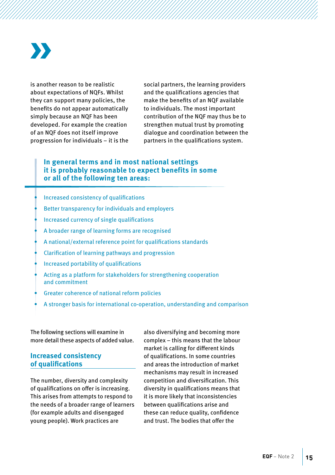is another reason to be realistic about expectations of NQFs. Whilst they can support many policies, the benefits do not appear automatically simply because an NQF has been developed. For example the creation of an NQF does not itself improve progression for individuals – it is the social partners, the learning providers and the qualifications agencies that make the benefits of an NQF available to individuals. The most important contribution of the NQF may thus be to strengthen mutual trust by promoting dialogue and coordination between the partners in the qualifications system.

#### **In general terms and in most national settings it is probably reasonable to expect benefits in some or all of the following ten areas:**

- Increased consistency of qualifications
- Better transparency for individuals and employers
- Increased currency of single qualifications
- A broader range of learning forms are recognised
- A national/external reference point for qualifications standards
- Clarification of learning pathways and progression
- Increased portability of qualifications
- Acting as a platform for stakeholders for strengthening cooperation and commitment
- Greater coherence of national reform policies
- A stronger basis for international co-operation, understanding and comparison

The following sections will examine in more detail these aspects of added value.

#### **Increased consistency of qualifications**

The number, diversity and complexity of qualifications on offer is increasing. This arises from attempts to respond to the needs of a broader range of learners (for example adults and disengaged young people). Work practices are

also diversifying and becoming more complex – this means that the labour market is calling for different kinds of qualifications. In some countries and areas the introduction of market mechanisms may result in increased competition and diversification. This diversity in qualifications means that it is more likely that inconsistencies between qualifications arise and these can reduce quality, confidence and trust. The bodies that offer the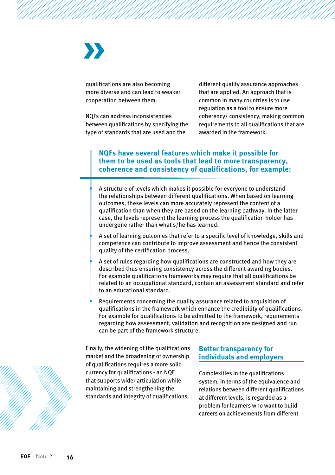qualifications are also becoming more diverse and can lead to weaker cooperation between them.

NQFs can address inconsistencies between qualifications by specifying the type of standards that are used and the

different quality assurance approaches that are applied. An approach that is common in many countries is to use regulation as a tool to ensure more coherency/ consistency, making common requirements to all qualifications that are awarded in the framework.

#### **NQFs have several features which make it possible for them to be used as tools that lead to more transparency, coherence and consistency of qualifications, for example:**

A structure of levels which makes it possible for everyone to understand the relationships between different qualifications. When based on learning outcomes, these levels can more accurately represent the content of a qualification than when they are based on the learning pathway. In the latter case, the levels represent the learning process the qualification holder has undergone rather than what s/he has learned.

- A set of learning outcomes that refer to a specific level of knowledge, skills and competence can contribute to improve assessment and hence the consistent quality of the certification process.
- A set of rules regarding how qualifications are constructed and how they are described thus ensuring consistency across the different awarding bodies. For example qualifications frameworks may require that all qualifications be related to an occupational standard, contain an assessment standard and refer to an educational standard.
- Requirements concerning the quality assurance related to acquisition of qualifications in the framework which enhance the credibility of qualifications. For example for qualifications to be admitted to the framework, requirements regarding how assessment, validation and recognition are designed and run can be part of the framework structure.

Finally, the widening of the qualifications market and the broadening of ownership of qualifications requires a more solid currency for qualifications - an NQF that supports wider articulation while maintaining and strengthening the standards and integrity of qualifications.

#### **Better transparency for individuals and employers**

Complexities in the qualifications system, in terms of the equivalence and relations between different qualifications at different levels, is regarded as a problem for learners who want to build careers on achievements from different

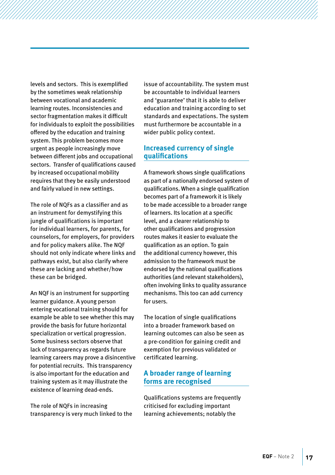levels and sectors. This is exemplified by the sometimes weak relationship between vocational and academic learning routes. Inconsistencies and sector fragmentation makes it difficult for individuals to exploit the possibilities offered by the education and training system. This problem becomes more urgent as people increasingly move between different jobs and occupational sectors. Transfer of qualifications caused by increased occupational mobility requires that they be easily understood and fairly valued in new settings.

The role of NQFs as a classifier and as an instrument for demystifying this jungle of qualifications is important for individual learners, for parents, for counselors, for employers, for providers and for policy makers alike. The NQF should not only indicate where links and pathways exist, but also clarify where these are lacking and whether/how these can be bridged.

An NQF is an instrument for supporting learner guidance. A young person entering vocational training should for example be able to see whether this may provide the basis for future horizontal specialization or vertical progression. Some business sectors observe that lack of transparency as regards future learning careers may prove a disincentive for potential recruits. This transparency is also important for the education and training system as it may illustrate the existence of learning dead-ends.

The role of NQFs in increasing transparency is very much linked to the issue of accountability. The system must be accountable to individual learners and 'guarantee' that it is able to deliver education and training according to set standards and expectations. The system must furthermore be accountable in a wider public policy context.

#### **Increased currency of single qualifications**

A framework shows single qualifications as part of a nationally endorsed system of qualifications. When a single qualification becomes part of a framework it is likely to be made accessible to a broader range of learners. Its location at a specific level, and a clearer relationship to other qualifications and progression routes makes it easier to evaluate the qualification as an option. To gain the additional currency however, this admission to the framework must be endorsed by the national qualifications authorities (and relevant stakeholders), often involving links to quality assurance mechanisms. This too can add currency for users.

The location of single qualifications into a broader framework based on learning outcomes can also be seen as a pre-condition for gaining credit and exemption for previous validated or certificated learning.

#### **A broader range of learning forms are recognised**

Qualifications systems are frequently criticised for excluding important learning achievements; notably the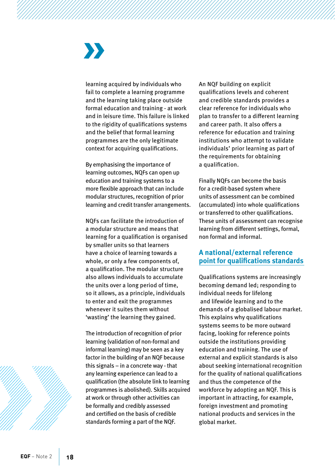learning acquired by individuals who fail to complete a learning programme and the learning taking place outside formal education and training - at work and in leisure time. This failure is linked to the rigidity of qualifications systems and the belief that formal learning programmes are the only legitimate context for acquiring qualifications.

By emphasising the importance of learning outcomes, NQFs can open up education and training systems to a more flexible approach that can include modular structures, recognition of prior learning and credit transfer arrangements.

NQFs can facilitate the introduction of a modular structure and means that learning for a qualification is organised by smaller units so that learners have a choice of learning towards a whole, or only a few components of, a qualification. The modular structure also allows individuals to accumulate the units over a long period of time, so it allows, as a principle, individuals to enter and exit the programmes whenever it suites them without 'wasting' the learning they gained.

The introduction of recognition of prior learning (validation of non-formal and informal learning) may be seen as a key factor in the building of an NQF because this signals – in a concrete way - that any learning experience can lead to a qualification (the absolute link to learning programmes is abolished). Skills acquired at work or through other activities can be formally and credibly assessed and certified on the basis of credible standards forming a part of the NQF.

An NQF building on explicit qualifications levels and coherent and credible standards provides a clear reference for individuals who plan to transfer to a different learning and career path. It also offers a reference for education and training institutions who attempt to validate individuals' prior learning as part of the requirements for obtaining a qualification.

Finally NQFs can become the basis for a credit-based system where units of assessment can be combined (accumulated) into whole qualifications or transferred to other qualifications. These units of assessment can recognise learning from different settings, formal, non formal and informal.

#### **A national/external reference point for qualifications standards**

Qualifications systems are increasingly becoming demand led; responding to individual needs for lifelong and lifewide learning and to the demands of a globalised labour market. This explains why qualifications systems seems to be more outward facing, looking for reference points outside the institutions providing education and training. The use of external and explicit standards is also about seeking international recognition for the quality of national qualifications and thus the competence of the workforce by adopting an NQF. This is important in attracting, for example, foreign investment and promoting national products and services in the global market.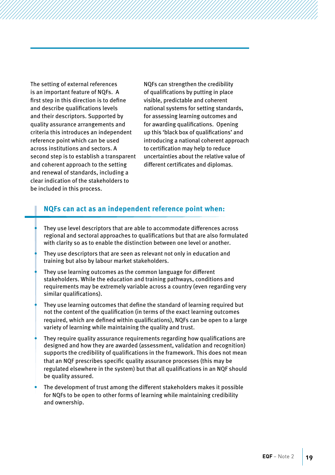The setting of external references is an important feature of NQFs. A first step in this direction is to define and describe qualifications levels and their descriptors. Supported by quality assurance arrangements and criteria this introduces an independent reference point which can be used across institutions and sectors. A second step is to establish a transparent and coherent approach to the setting and renewal of standards, including a clear indication of the stakeholders to be included in this process.

NQFs can strengthen the credibility of qualifications by putting in place visible, predictable and coherent national systems for setting standards, for assessing learning outcomes and for awarding qualifications. Opening up this 'black box of qualifications' and introducing a national coherent approach to certification may help to reduce uncertainties about the relative value of different certificates and diplomas.

#### **NQFs can act as an independent reference point when:**

- They use level descriptors that are able to accommodate differences across regional and sectoral approaches to qualifications but that are also formulated with clarity so as to enable the distinction between one level or another.
- They use descriptors that are seen as relevant not only in education and training but also by labour market stakeholders.
- They use learning outcomes as the common language for different stakeholders. While the education and training pathways, conditions and requirements may be extremely variable across a country (even regarding very similar qualifications).
- They use learning outcomes that define the standard of learning required but not the content of the qualification (in terms of the exact learning outcomes required, which are defined within qualifications), NQFs can be open to a large variety of learning while maintaining the quality and trust.
- They require quality assurance requirements regarding how qualifications are designed and how they are awarded (assessment, validation and recognition) supports the credibility of qualifications in the framework. This does not mean that an NQF prescribes specific quality assurance processes (this may be regulated elsewhere in the system) but that all qualifications in an NQF should be quality assured.
- The development of trust among the different stakeholders makes it possible for NQFs to be open to other forms of learning while maintaining credibility and ownership.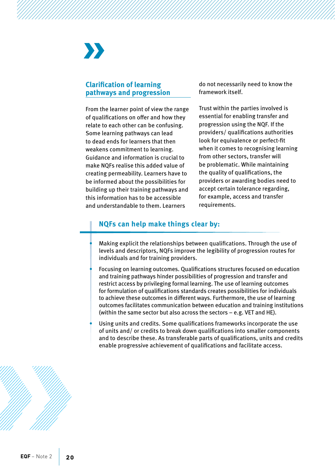# W

#### **Clarification of learning pathways and progression**

From the learner point of view the range of qualifications on offer and how they relate to each other can be confusing. Some learning pathways can lead to dead ends for learners that then weakens commitment to learning. Guidance and information is crucial to make NQFs realise this added value of creating permeability. Learners have to be informed about the possibilities for building up their training pathways and this information has to be accessible and understandable to them. Learners

do not necessarily need to know the framework itself.

Trust within the parties involved is essential for enabling transfer and progression using the NQF. If the providers/ qualifications authorities look for equivalence or perfect-fit when it comes to recognising learning from other sectors, transfer will be problematic. While maintaining the quality of qualifications, the providers or awarding bodies need to accept certain tolerance regarding, for example, access and transfer requirements.

#### **NQFs can help make things clear by:**

Making explicit the relationships between qualifications. Through the use of levels and descriptors, NQFs improve the legibility of progression routes for individuals and for training providers.

- Focusing on learning outcomes. Qualifications structures focused on education and training pathways hinder possibilities of progression and transfer and restrict access by privileging formal learning. The use of learning outcomes for formulation of qualifications standards creates possibilities for individuals to achieve these outcomes in different ways. Furthermore, the use of learning outcomes facilitates communication between education and training institutions (within the same sector but also across the sectors – e.g. VET and HE).
- Using units and credits. Some qualifications frameworks incorporate the use of units and/ or credits to break down qualifications into smaller components and to describe these. As transferable parts of qualifications, units and credits enable progressive achievement of qualifications and facilitate access.

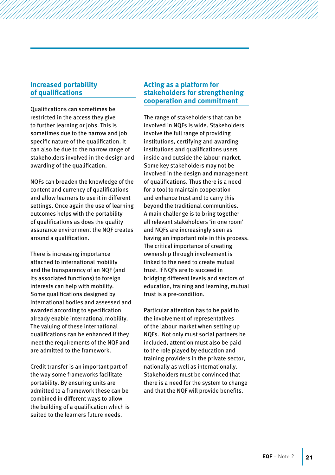#### **Increased portability of qualifications**

Qualifications can sometimes be restricted in the access they give to further learning or jobs. This is sometimes due to the narrow and job specific nature of the qualification. It can also be due to the narrow range of stakeholders involved in the design and awarding of the qualification.

NQFs can broaden the knowledge of the content and currency of qualifications and allow learners to use it in different settings. Once again the use of learning outcomes helps with the portability of qualifications as does the quality assurance environment the NQF creates around a qualification.

There is increasing importance attached to international mobility and the transparency of an NQF (and its associated functions) to foreign interests can help with mobility. Some qualifications designed by international bodies and assessed and awarded according to specification already enable international mobility. The valuing of these international qualifications can be enhanced if they meet the requirements of the NQF and are admitted to the framework.

Credit transfer is an important part of the way some frameworks facilitate portability. By ensuring units are admitted to a framework these can be combined in different ways to allow the building of a qualification which is suited to the learners future needs.

#### **Acting as a platform for stakeholders for strengthening cooperation and commitment**

The range of stakeholders that can be involved in NQFs is wide. Stakeholders involve the full range of providing institutions, certifying and awarding institutions and qualifications users inside and outside the labour market. Some key stakeholders may not be involved in the design and management of qualifications. Thus there is a need for a tool to maintain cooperation and enhance trust and to carry this beyond the traditional communities. A main challenge is to bring together all relevant stakeholders 'in one room' and NQFs are increasingly seen as having an important role in this process. The critical importance of creating ownership through involvement is linked to the need to create mutual trust. If NQFs are to succeed in bridging different levels and sectors of education, training and learning, mutual trust is a pre-condition.

Particular attention has to be paid to the involvement of representatives of the labour market when setting up NQFs. Not only must social partners be included, attention must also be paid to the role played by education and training providers in the private sector, nationally as well as internationally. Stakeholders must be convinced that there is a need for the system to change and that the NQF will provide benefits.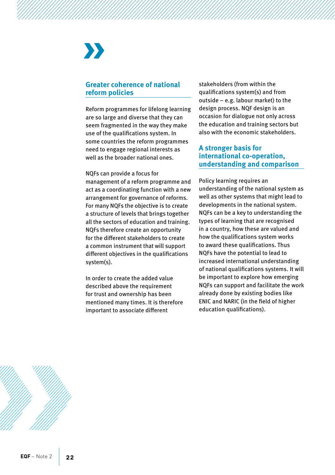#### **Greater coherence of national reform policies**

Reform programmes for lifelong learning are so large and diverse that they can seem fragmented in the way they make use of the qualifications system. In some countries the reform programmes need to engage regional interests as well as the broader national ones.

NQFs can provide a focus for management of a reform programme and act as a coordinating function with a new arrangement for governance of reforms. For many NQFs the objective is to create a structure of levels that brings together all the sectors of education and training. NQFs therefore create an opportunity for the different stakeholders to create a common instrument that will support different objectives in the qualifications system(s).

In order to create the added value described above the requirement for trust and ownership has been mentioned many times. It is therefore important to associate different

stakeholders (from within the qualifications system(s) and from outside – e.g. labour market) to the design process. NQF design is an occasion for dialogue not only across the education and training sectors but also with the economic stakeholders.

#### **A stronger basis for international co-operation, understanding and comparison**

Policy learning requires an understanding of the national system as well as other systems that might lead to developments in the national system. NQFs can be a key to understanding the types of learning that are recognised in a country, how these are valued and how the qualifications system works to award these qualifications. Thus NQFs have the potential to lead to increased international understanding of national qualifications systems. It will be important to explore how emerging NQFs can support and facilitate the work already done by existing bodies like ENIC and NARIC (in the field of higher education qualifications).

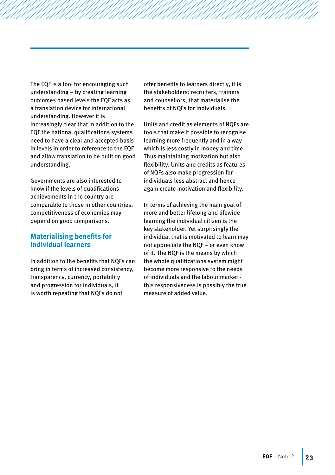The EQF is a tool for encouraging such understanding – by creating learning outcomes based levels the EQF acts as a translation device for international understanding. However it is increasingly clear that in addition to the EQF the national qualifications systems need to have a clear and accepted basis in levels in order to reference to the EQF and allow translation to be built on good understanding.

Governments are also interested to know if the levels of qualifications achievements in the country are comparable to those in other countries, competitiveness of economies may depend on good comparisons.

#### **Materialising benefits for individual learners**

In addition to the benefits that NQFs can bring in terms of increased consistency, transparency, currency, portability and progression for individuals, it is worth repeating that NQFs do not

offer benefits to learners directly, it is the stakeholders: recruiters, trainers and counsellors; that materialise the benefits of NQFs for individuals.

Units and credit as elements of NQFs are tools that make it possible to recognise learning more frequently and in a way which is less costly in money and time. Thus maintaining motivation but also flexibility. Units and credits as features of NQFs also make progression for individuals less abstract and hence again create motivation and flexibility.

In terms of achieving the main goal of more and better lifelong and lifewide learning the individual citizen is the key stakeholder. Yet surprisingly the individual that is motivated to learn may not appreciate the NQF – or even know of it. The NQF is the means by which the whole qualifications system might become more responsive to the needs of individuals and the labour market this responsiveness is possibly the true measure of added value.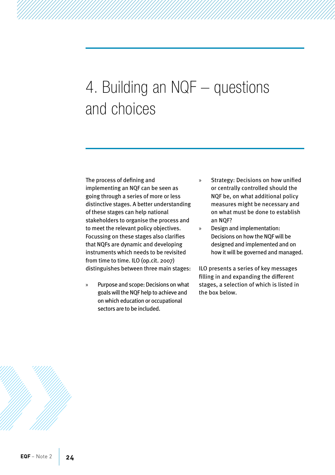### <span id="page-25-0"></span>4. Building an NQF – questions and choices

The process of defining and implementing an NQF can be seen as going through a series of more or less distinctive stages. A better understanding of these stages can help national stakeholders to organise the process and to meet the relevant policy objectives. Focussing on these stages also clarifies that NQFs are dynamic and developing instruments which needs to be revisited from time to time. ILO (op.cit. 2007) distinguishes between three main stages:

» Purpose and scope: Decisions on what goals will the NQF help to achieve and on which education or occupational sectors are to be included.

- Strategy: Decisions on how unified or centrally controlled should the NQF be, on what additional policy measures might be necessary and on what must be done to establish an NQF?
- » Design and implementation: Decisions on how the NQF will be designed and implemented and on how it will be governed and managed.

ILO presents a series of key messages filling in and expanding the different stages, a selection of which is listed in the box below.

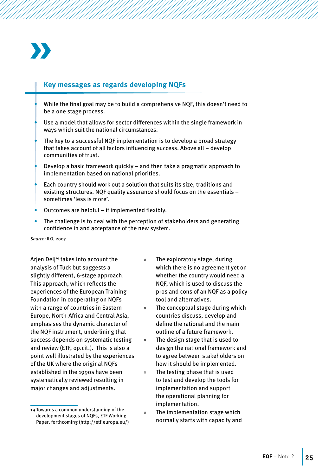

#### **Key messages as regards developing NQFs**

- While the final goal may be to build a comprehensive NQF, this doesn't need to be a one stage process.
- Use a model that allows for sector differences within the single framework in ways which suit the national circumstances.
- The key to a successful NQF implementation is to develop a broad strategy that takes account of all factors influencing success. Above all – develop communities of trust.
- Develop a basic framework quickly  $-$  and then take a pragmatic approach to implementation based on national priorities.
- Each country should work out a solution that suits its size, traditions and existing structures. NQF quality assurance should focus on the essentials – sometimes 'less is more'.
- Outcomes are helpful if implemented flexibly.
- The challenge is to deal with the perception of stakeholders and generating confidence in and acceptance of the new system.

*Source:* ILO, 2007

Arjen Deij<sup>19</sup> takes into account the analysis of Tuck but suggests a slightly different, 6-stage approach. This approach, which reflects the experiences of the European Training Foundation in cooperating on NQFs with a range of countries in Eastern Europe, North-Africa and Central Asia, emphasises the dynamic character of the NQF instrument, underlining that success depends on systematic testing and review (ETF, op.cit.). This is also a point well illustrated by the experiences of the UK where the original NQFs established in the 1990s have been systematically reviewed resulting in major changes and adjustments.

- » The exploratory stage, during which there is no agreement yet on whether the country would need a NQF, which is used to discuss the pros and cons of an NQF as a policy tool and alternatives.
- » The conceptual stage during which countries discuss, develop and define the rational and the main outline of a future framework.
- » The design stage that is used to design the national framework and to agree between stakeholders on how it should be implemented.
- » The testing phase that is used to test and develop the tools for implementation and support the operational planning for implementation.
- The implementation stage which normally starts with capacity and

<sup>19</sup> Towards a common understanding of the development stages of NQFs, ETF Working Paper, forthcoming ([http://etf.europa.eu/\)](http://etf.europa.eu/)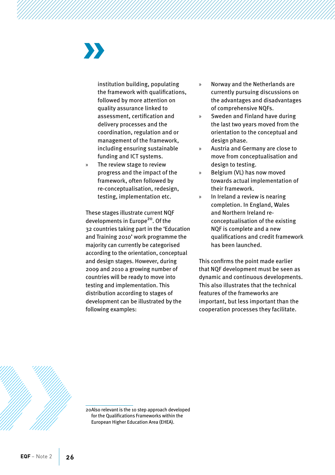institution building, populating the framework with qualifications, followed by more attention on quality assurance linked to assessment, certification and delivery processes and the coordination, regulation and or management of the framework, including ensuring sustainable funding and ICT systems.

» The review stage to review progress and the impact of the framework, often followed by re-conceptualisation, redesign, testing, implementation etc.

These stages illustrate current NQF developments in Europe<sup>20</sup>. Of the 32 countries taking part in the 'Education and Training 2010' work programme the majority can currently be categorised according to the orientation, conceptual and design stages. However, during 2009 and 2010 a growing number of countries will be ready to move into testing and implementation. This distribution according to stages of development can be illustrated by the following examples:

- » Norway and the Netherlands are currently pursuing discussions on the advantages and disadvantages of comprehensive NQFs.
- » Sweden and Finland have during the last two years moved from the orientation to the conceptual and design phase.
- » Austria and Germany are close to move from conceptualisation and design to testing.
- » Belgium (VL) has now moved towards actual implementation of their framework.
- » In Ireland a review is nearing completion. In England, Wales and Northern Ireland reconceptualisation of the existing NQF is complete and a new qualifications and credit framework has been launched.

This confirms the point made earlier that NQF development must be seen as dynamic and continuous developments. This also illustrates that the technical features of the frameworks are important, but less important than the cooperation processes they facilitate.



<sup>20</sup>Also relevant is the 10 step approach developed for the Qualifications Frameworks within the European Higher Education Area (EHEA).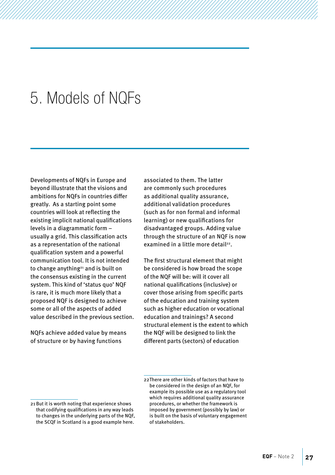### <span id="page-28-0"></span>5. Models of NQFs

Developments of NQFs in Europe and beyond illustrate that the visions and ambitions for NQFs in countries differ greatly. As a starting point some countries will look at reflecting the existing implicit national qualifications levels in a diagrammatic form – usually a grid. This classification acts as a representation of the national qualification system and a powerful communication tool. It is not intended to change anything<sup>21</sup> and is built on the consensus existing in the current system. This kind of 'status quo' NQF is rare, it is much more likely that a proposed NQF is designed to achieve some or all of the aspects of added value described in the previous section.

NQFs achieve added value by means of structure or by having functions

associated to them. The latter are commonly such procedures as additional quality assurance, additional validation procedures (such as for non formal and informal learning) or new qualifications for disadvantaged groups. Adding value through the structure of an NQF is now examined in a little more detail22.

The first structural element that might be considered is how broad the scope of the NQF will be: will it cover all national qualifications (inclusive) or cover those arising from specific parts of the education and training system such as higher education or vocational education and trainings? A second structural element is the extent to which the NQF will be designed to link the different parts (sectors) of education

<sup>21</sup> But it is worth noting that experience shows that codifying qualifications in any way leads to changes in the underlying parts of the NQF, the SCQF in Scotland is a good example here.

<sup>22</sup>There are other kinds of factors that have to be considered in the design of an NQF, for example its possible use as a regulatory tool which requires additional quality assurance procedures, or whether the framework is imposed by government (possibly by law) or is built on the basis of voluntary engagement of stakeholders.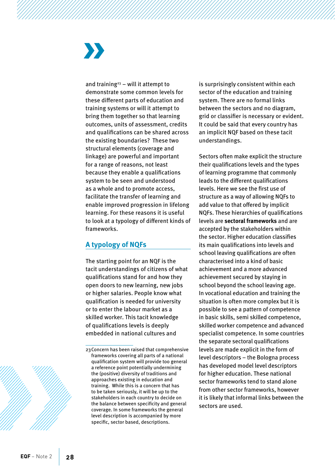# $\boldsymbol{\Sigma}$

and training<sup>23</sup> – will it attempt to demonstrate some common levels for these different parts of education and training systems or will it attempt to bring them together so that learning outcomes, units of assessment, credits and qualifications can be shared across the existing boundaries? These two structural elements (coverage and linkage) are powerful and important for a range of reasons, not least because they enable a qualifications system to be seen and understood as a whole and to promote access, facilitate the transfer of learning and enable improved progression in lifelong learning. For these reasons it is useful to look at a typology of different kinds of frameworks.

### **A typology of NQFs**

The starting point for an NQF is the tacit understandings of citizens of what qualifications stand for and how they open doors to new learning, new jobs or higher salaries. People know what qualification is needed for university or to enter the labour market as a skilled worker. This tacit knowledge of qualifications levels is deeply embedded in national cultures and

is surprisingly consistent within each sector of the education and training system. There are no formal links between the sectors and no diagram, grid or classifier is necessary or evident. It could be said that every country has an implicit NQF based on these tacit understandings.

Sectors often make explicit the structure their qualifications levels and the types of learning programme that commonly leads to the different qualifications levels. Here we see the first use of structure as a way of allowing NQFs to add value to that offered by implicit NQFs. These hierarchies of qualifications levels are **sectoral frameworks** and are accepted by the stakeholders within the sector. Higher education classifies its main qualifications into levels and school leaving qualifications are often characterised into a kind of basic achievement and a more advanced achievement secured by staying in school beyond the school leaving age. In vocational education and training the situation is often more complex but it is possible to see a pattern of competence in basic skills, semi skilled competence, skilled worker competence and advanced specialist competence. In some countries the separate sectoral qualifications levels are made explicit in the form of level descriptors – the Bologna process has developed model level descriptors for higher education. These national sector frameworks tend to stand alone from other sector frameworks, however it is likely that informal links between the sectors are used.



<sup>23</sup>Concern has been raised that comprehensive frameworks covering all parts of a national qualification system will provide too general a reference point potentially undermining the (positive) diversity of traditions and approaches existing in education and training. While this is a concern that has to be taken seriously, it will be up to the stakeholders in each country to decide on the balance between specificity and general coverage. In some frameworks the general level description is accompanied by more specific, sector based, descriptions.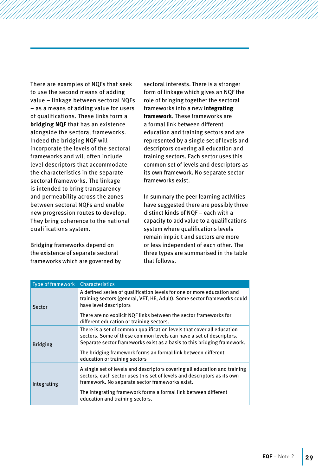There are examples of NQFs that seek to use the second means of adding value – linkage between sectoral NQFs – as a means of adding value for users of qualifications. These links form a **bridging NQF** that has an existence alongside the sectoral frameworks. Indeed the bridging NQF will incorporate the levels of the sectoral frameworks and will often include level descriptors that accommodate the characteristics in the separate sectoral frameworks. The linkage is intended to bring transparency and permeability across the zones between sectoral NQFs and enable new progression routes to develop. They bring coherence to the national qualifications system.

Bridging frameworks depend on the existence of separate sectoral frameworks which are governed by sectoral interests. There is a stronger form of linkage which gives an NQF the role of bringing together the sectoral frameworks into a new **integrating framework**. These frameworks are a formal link between different education and training sectors and are represented by a single set of levels and descriptors covering all education and training sectors. Each sector uses this common set of levels and descriptors as its own framework. No separate sector frameworks exist.

In summary the peer learning activities have suggested there are possibly three distinct kinds of NQF – each with a capacity to add value to a qualifications system where qualifications levels remain implicit and sectors are more or less independent of each other. The three types are summarised in the table that follows.

| Type of framework Characteristics |                                                                                                                                                                                                                                                                                                                            |
|-----------------------------------|----------------------------------------------------------------------------------------------------------------------------------------------------------------------------------------------------------------------------------------------------------------------------------------------------------------------------|
| Sector                            | A defined series of qualification levels for one or more education and<br>training sectors (general, VET, HE, Adult). Some sector frameworks could<br>have level descriptors                                                                                                                                               |
|                                   | There are no explicit NQF links between the sector frameworks for<br>different education or training sectors.                                                                                                                                                                                                              |
| <b>Bridging</b>                   | There is a set of common qualification levels that cover all education<br>sectors. Some of these common levels can have a set of descriptors.<br>Separate sector frameworks exist as a basis to this bridging framework.<br>The bridging framework forms an formal link between different<br>education or training sectors |
|                                   |                                                                                                                                                                                                                                                                                                                            |
| Integrating                       | A single set of levels and descriptors covering all education and training<br>sectors, each sector uses this set of levels and descriptors as its own<br>framework. No separate sector frameworks exist.                                                                                                                   |
|                                   | The integrating framework forms a formal link between different<br>education and training sectors.                                                                                                                                                                                                                         |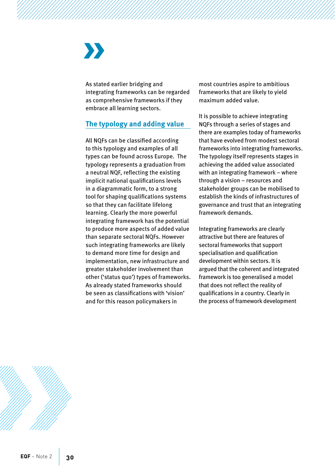# X)

As stated earlier bridging and integrating frameworks can be regarded as comprehensive frameworks if they embrace all learning sectors.

#### **The typology and adding value**

All NQFs can be classified according to this typology and examples of all types can be found across Europe. The typology represents a graduation from a neutral NQF, reflecting the existing implicit national qualifications levels in a diagrammatic form, to a strong tool for shaping qualifications systems so that they can facilitate lifelong learning. Clearly the more powerful integrating framework has the potential to produce more aspects of added value than separate sectoral NQFs. However such integrating frameworks are likely to demand more time for design and implementation, new infrastructure and greater stakeholder involvement than other ('status quo') types of frameworks. As already stated frameworks should be seen as classifications with 'vision' and for this reason policymakers in

most countries aspire to ambitious frameworks that are likely to yield maximum added value.

It is possible to achieve integrating NQFs through a series of stages and there are examples today of frameworks that have evolved from modest sectoral frameworks into integrating frameworks. The typology itself represents stages in achieving the added value associated with an integrating framework – where through a vision – resources and stakeholder groups can be mobilised to establish the kinds of infrastructures of governance and trust that an integrating framework demands.

Integrating frameworks are clearly attractive but there are features of sectoral frameworks that support specialisation and qualification development within sectors. It is argued that the coherent and integrated framework is too generalised a model that does not reflect the reality of qualifications in a country. Clearly in the process of framework development

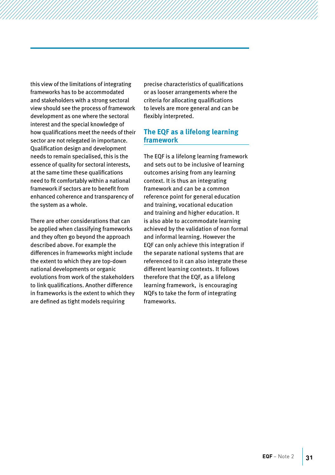this view of the limitations of integrating frameworks has to be accommodated and stakeholders with a strong sectoral view should see the process of framework development as one where the sectoral interest and the special knowledge of how qualifications meet the needs of their sector are not relegated in importance. Qualification design and development needs to remain specialised, this is the essence of quality for sectoral interests, at the same time these qualifications need to fit comfortably within a national framework if sectors are to benefit from enhanced coherence and transparency of the system as a whole.

There are other considerations that can be applied when classifying frameworks and they often go beyond the approach described above. For example the differences in frameworks might include the extent to which they are top-down national developments or organic evolutions from work of the stakeholders to link qualifications. Another difference in frameworks is the extent to which they are defined as tight models requiring

precise characteristics of qualifications or as looser arrangements where the criteria for allocating qualifications to levels are more general and can be flexibly interpreted.

#### **The EQF as a lifelong learning framework**

The EQF is a lifelong learning framework and sets out to be inclusive of learning outcomes arising from any learning context. It is thus an integrating framework and can be a common reference point for general education and training, vocational education and training and higher education. It is also able to accommodate learning achieved by the validation of non formal and informal learning. However the EQF can only achieve this integration if the separate national systems that are referenced to it can also integrate these different learning contexts. It follows therefore that the EQF, as a lifelong learning framework, is encouraging NQFs to take the form of integrating frameworks.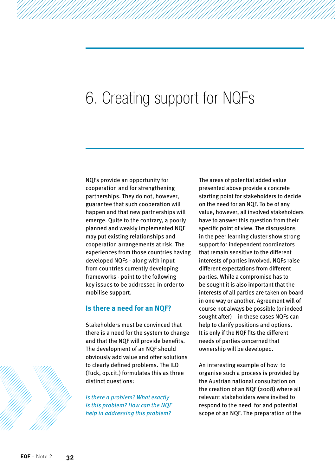### <span id="page-33-0"></span>6. Creating support for NQFs

NQFs provide an opportunity for cooperation and for strengthening partnerships. They do not, however, guarantee that such cooperation will happen and that new partnerships will emerge. Quite to the contrary, a poorly planned and weakly implemented NQF may put existing relationships and cooperation arrangements at risk. The experiences from those countries having developed NQFs - along with input from countries currently developing frameworks - point to the following key issues to be addressed in order to mobilise support.

#### **Is there a need for an NQF?**

Stakeholders must be convinced that there is a need for the system to change and that the NQF will provide benefits. The development of an NQF should obviously add value and offer solutions to clearly defined problems. The ILO (Tuck, op.cit.) formulates this as three distinct questions:

*Is there a problem? What exactly is this problem? How can the NQF help in addressing this problem?* 

The areas of potential added value presented above provide a concrete starting point for stakeholders to decide on the need for an NQF. To be of any value, however, all involved stakeholders have to answer this question from their specific point of view. The discussions in the peer learning cluster show strong support for independent coordinators that remain sensitive to the different interests of parties involved. NQFs raise different expectations from different parties. While a compromise has to be sought it is also important that the interests of all parties are taken on board in one way or another. Agreement will of course not always be possible (or indeed sought after) – in these cases NQFs can help to clarify positions and options. It is only if the NQF fits the different needs of parties concerned that ownership will be developed.

An interesting example of how to organise such a process is provided by the Austrian national consultation on the creation of an NQF (2008) where all relevant stakeholders were invited to respond to the need for and potential scope of an NQF. The preparation of the

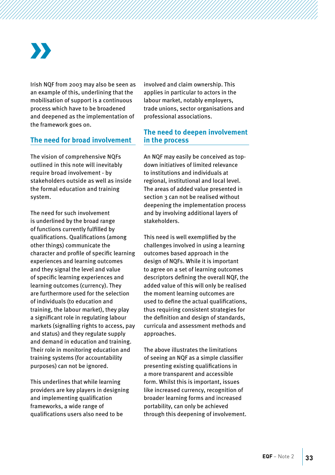Irish NQF from 2003 may also be seen as an example of this, underlining that the mobilisation of support is a continuous process which have to be broadened and deepened as the implementation of the framework goes on.

#### **The need for broad involvement**

The vision of comprehensive NQFs outlined in this note will inevitably require broad involvement - by stakeholders outside as well as inside the formal education and training system.

The need for such involvement is underlined by the broad range of functions currently fulfilled by qualifications. Qualifications (among other things) communicate the character and profile of specific learning experiences and learning outcomes and they signal the level and value of specific learning experiences and learning outcomes (currency). They are furthermore used for the selection of individuals (to education and training, the labour market), they play a significant role in regulating labour markets (signalling rights to access, pay and status) and they regulate supply and demand in education and training. Their role in monitoring education and training systems (for accountability purposes) can not be ignored.

This underlines that while learning providers are key players in designing and implementing qualification frameworks, a wide range of qualifications users also need to be

involved and claim ownership. This applies in particular to actors in the labour market, notably employers, trade unions, sector organisations and professional associations.

#### **The need to deepen involvement in the process**

An NQF may easily be conceived as topdown initiatives of limited relevance to institutions and individuals at regional, institutional and local level. The areas of added value presented in section 3 can not be realised without deepening the implementation process and by involving additional layers of stakeholders.

This need is well exemplified by the challenges involved in using a learning outcomes based approach in the design of NQFs. While it is important to agree on a set of learning outcomes descriptors defining the overall NQF, the added value of this will only be realised the moment learning outcomes are used to define the actual qualifications, thus requiring consistent strategies for the definition and design of standards, curricula and assessment methods and approaches.

The above illustrates the limitations of seeing an NQF as a simple classifier presenting existing qualifications in a more transparent and accessible form. Whilst this is important, issues like increased currency, recognition of broader learning forms and increased portability, can only be achieved through this deepening of involvement.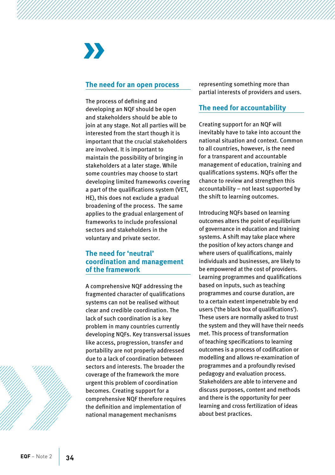# $\sum$

#### **The need for an open process**

The process of defining and developing an NQF should be open and stakeholders should be able to join at any stage. Not all parties will be interested from the start though it is important that the crucial stakeholders are involved. It is important to maintain the possibility of bringing in stakeholders at a later stage. While some countries may choose to start developing limited frameworks covering a part of the qualifications system (VET, HE), this does not exclude a gradual broadening of the process. The same applies to the gradual enlargement of frameworks to include professional sectors and stakeholders in the voluntary and private sector.

#### **The need for 'neutral' coordination and management of the framework**

A comprehensive NQF addressing the fragmented character of qualifications systems can not be realised without clear and credible coordination. The lack of such coordination is a key problem in many countries currently developing NQFs. Key transversal issues like access, progression, transfer and portability are not properly addressed due to a lack of coordination between sectors and interests. The broader the coverage of the framework the more urgent this problem of coordination becomes. Creating support for a comprehensive NQF therefore requires the definition and implementation of national management mechanisms

representing something more than partial interests of providers and users.

#### **The need for accountability**

Creating support for an NQF will inevitably have to take into account the national situation and context. Common to all countries, however, is the need for a transparent and accountable management of education, training and qualifications systems. NQFs offer the chance to review and strengthen this accountability – not least supported by the shift to learning outcomes.

Introducing NQFs based on learning outcomes alters the point of equilibrium of governance in education and training systems. A shift may take place where the position of key actors change and where users of qualifications, mainly individuals and businesses, are likely to be empowered at the cost of providers. Learning programmes and qualifications based on inputs, such as teaching programmes and course duration, are to a certain extent impenetrable by end users ('the black box of qualifications'). These users are normally asked to trust the system and they will have their needs met. This process of transformation of teaching specifications to learning outcomes is a process of codification or modelling and allows re-examination of programmes and a profoundly revised pedagogy and evaluation process. Stakeholders are able to intervene and discuss purposes, content and methods and there is the opportunity for peer learning and cross fertilization of ideas about best practices.

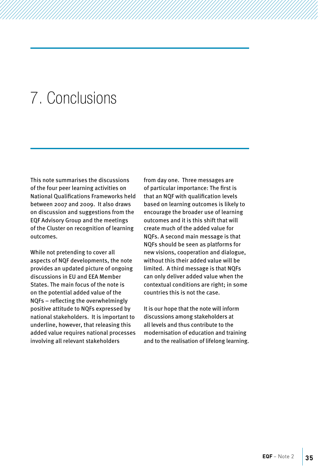### <span id="page-36-0"></span>7. Conclusions

This note summarises the discussions of the four peer learning activities on National Qualifications Frameworks held between 2007 and 2009. It also draws on discussion and suggestions from the EQF Advisory Group and the meetings of the Cluster on recognition of learning outcomes.

While not pretending to cover all aspects of NQF developments, the note provides an updated picture of ongoing discussions in EU and EEA Member States. The main focus of the note is on the potential added value of the NQFs – reflecting the overwhelmingly positive attitude to NQFs expressed by national stakeholders. It is important to underline, however, that releasing this added value requires national processes involving all relevant stakeholders

from day one. Three messages are of particular importance: The first is that an NQF with qualification levels based on learning outcomes is likely to encourage the broader use of learning outcomes and it is this shift that will create much of the added value for NQFs. A second main message is that NQFs should be seen as platforms for new visions, cooperation and dialogue, without this their added value will be limited. A third message is that NQFs can only deliver added value when the contextual conditions are right; in some countries this is not the case.

It is our hope that the note will inform discussions among stakeholders at all levels and thus contribute to the modernisation of education and training and to the realisation of lifelong learning.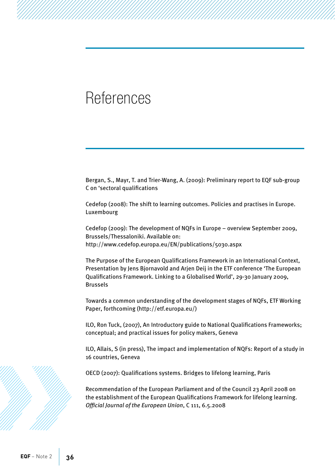### <span id="page-37-0"></span>References

Bergan, S., Mayr, T. and Trier-Wang, A. (2009): Preliminary report to EQF sub-group C on 'sectoral qualifications

Cedefop (2008): The shift to learning outcomes. Policies and practises in Europe. Luxembourg

Cedefop (2009): The development of NQFs in Europe – overview September 2009, Brussels/Thessaloniki. Available on: <http://www.cedefop.europa.eu/EN/publications/5030.aspx>

The Purpose of the European Qualifications Framework in an International Context, Presentation by Jens Bjornavold and Arjen Deij in the ETF conference 'The European Qualifications Framework. Linking to a Globalised World', 29-30 January 2009, Brussels

Towards a common understanding of the development stages of NQFs, ETF Working Paper, forthcoming ([http://etf.europa.eu/\)](http://etf.europa.eu/)

ILO, Ron Tuck, (2007), An Introductory guide to National Qualifications Frameworks; conceptual; and practical issues for policy makers, Geneva

ILO, Allais, S (in press), The impact and implementation of NQFs: Report of a study in 16 countries, Geneva

OECD (2007): Qualifications systems. Bridges to lifelong learning, Paris

Recommendation of the European Parliament and of the Council 23 April 2008 on the establishment of the European Qualifications Framework for lifelong learning. *Official Journal of the European Union*, C 111, 6.5.2008

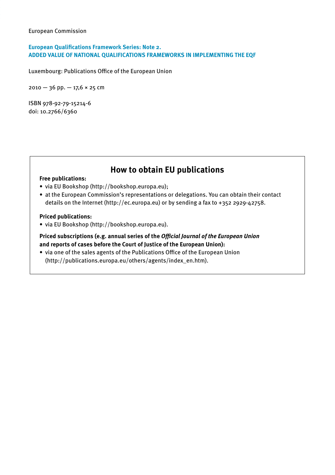#### European Commission

#### **European Qualifications Framework Series: Note 2. ADDED VALUE OF NATIONAL QUALIFICATIONS FRAMEWORKS IN IMPLEMENTING THE EQF**

Luxembourg: Publications Office of the European Union

2010 — 36 pp. — 17,6 × 25 cm

ISBN 978-92-79-15214-6 doi: 10.2766/6360

### **How to obtain EU publications**

#### **Free publications:**

- via EU Bookshop (<http://bookshop.europa.eu>);
- • at the European Commission's representations or delegations. You can obtain their contact details on the Internet (<http://ec.europa.eu>) or by sending a fax to +352 2929-42758.

#### **Priced publications:**

• via EU Bookshop (<http://bookshop.europa.eu>).

**Priced subscriptions (e.g. annual series of the** *Official Journal of the European Union* **and reports of cases before the Court of Justice of the European Union):**

• via one of the sales agents of the Publications Office of the European Union [\(http://publications.europa.eu/others/agents/index\\_en.htm](http://publications.europa.eu/others/agents/index_en.htm)).